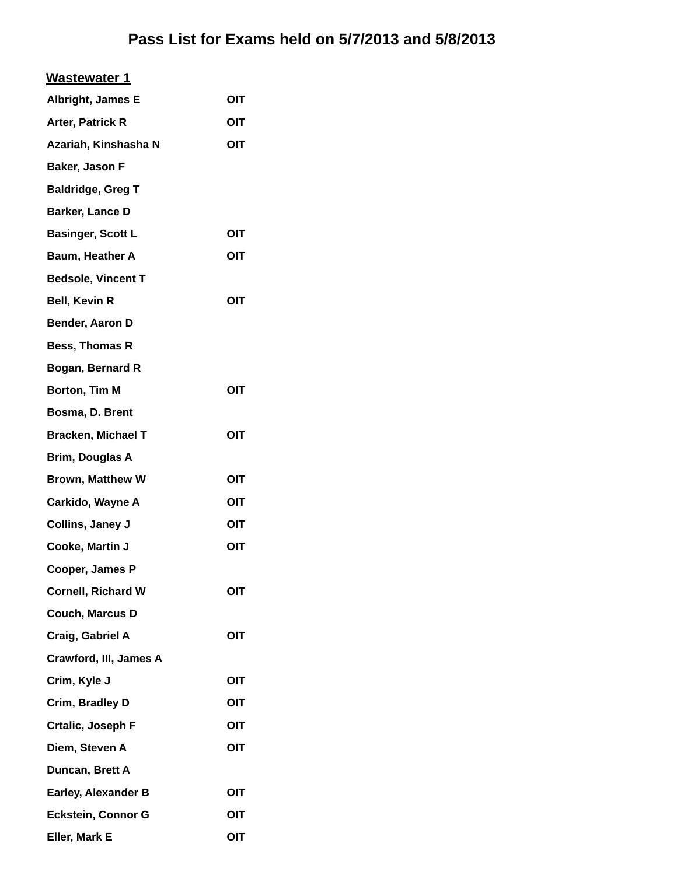| <u>Wastewater 1</u>        |     |
|----------------------------|-----|
| Albright, James E          | OIT |
| Arter, Patrick R           | OIT |
| Azariah, Kinshasha N       | OIT |
| Baker, Jason F             |     |
| <b>Baldridge, Greg T</b>   |     |
| Barker, Lance D            |     |
| <b>Basinger, Scott L</b>   | OIT |
| Baum, Heather A            | OIT |
| <b>Bedsole, Vincent T</b>  |     |
| <b>Bell, Kevin R</b>       | OIT |
| Bender, Aaron D            |     |
| <b>Bess, Thomas R</b>      |     |
| Bogan, Bernard R           |     |
| Borton, Tim M              | OIT |
| Bosma, D. Brent            |     |
| <b>Bracken, Michael T</b>  | OIT |
| Brim, Douglas A            |     |
| Brown, Matthew W           | OIT |
| Carkido, Wayne A           | OIT |
| Collins, Janey J           | OIT |
| Cooke, Martin J            | OIT |
| Cooper, James P            |     |
| <b>Cornell, Richard W</b>  | ΟΙΤ |
| Couch, Marcus D            |     |
| Craig, Gabriel A           | OIT |
| Crawford, III, James A     |     |
| Crim, Kyle J               | OIT |
| Crim, Bradley D            | OIT |
| Crtalic, Joseph F          | OIT |
| Diem, Steven A             | OIT |
| Duncan, Brett A            |     |
| <b>Earley, Alexander B</b> | OIT |
| <b>Eckstein, Connor G</b>  | OIT |
| Eller, Mark E              | OIT |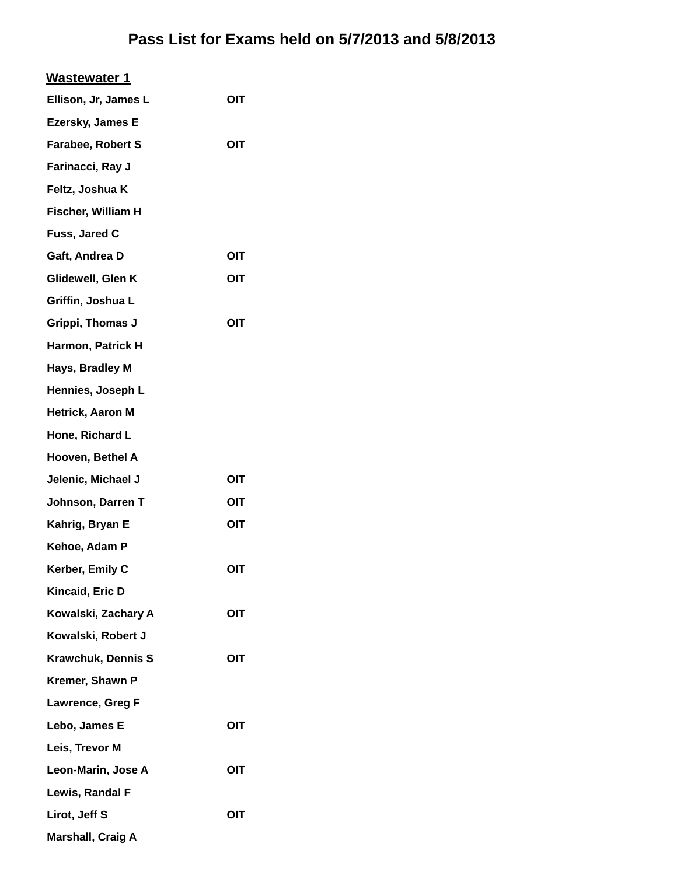| <b>Wastewater 1</b>       |     |
|---------------------------|-----|
| Ellison, Jr, James L      | OIT |
| <b>Ezersky, James E</b>   |     |
| Farabee, Robert S         | OIT |
| Farinacci, Ray J          |     |
| Feltz, Joshua K           |     |
| Fischer, William H        |     |
| Fuss, Jared C             |     |
| Gaft, Andrea D            | OIT |
| Glidewell, Glen K         | OIT |
| Griffin, Joshua L         |     |
| Grippi, Thomas J          | OIT |
| Harmon, Patrick H         |     |
| Hays, Bradley M           |     |
| Hennies, Joseph L         |     |
| Hetrick, Aaron M          |     |
| Hone, Richard L           |     |
| Hooven, Bethel A          |     |
| Jelenic, Michael J        | OIT |
| Johnson, Darren T         | OIT |
| Kahrig, Bryan E           | OIT |
| Kehoe, Adam P             |     |
| Kerber, Emily C           | OIT |
| Kincaid, Eric D           |     |
| Kowalski, Zachary A       | OIT |
| Kowalski, Robert J        |     |
| <b>Krawchuk, Dennis S</b> | OIT |
| Kremer, Shawn P           |     |
| Lawrence, Greg F          |     |
| Lebo, James E             | OIT |
| Leis, Trevor M            |     |
| Leon-Marin, Jose A        | OIT |
| Lewis, Randal F           |     |
| Lirot, Jeff S             | OIT |
| <b>Marshall, Craig A</b>  |     |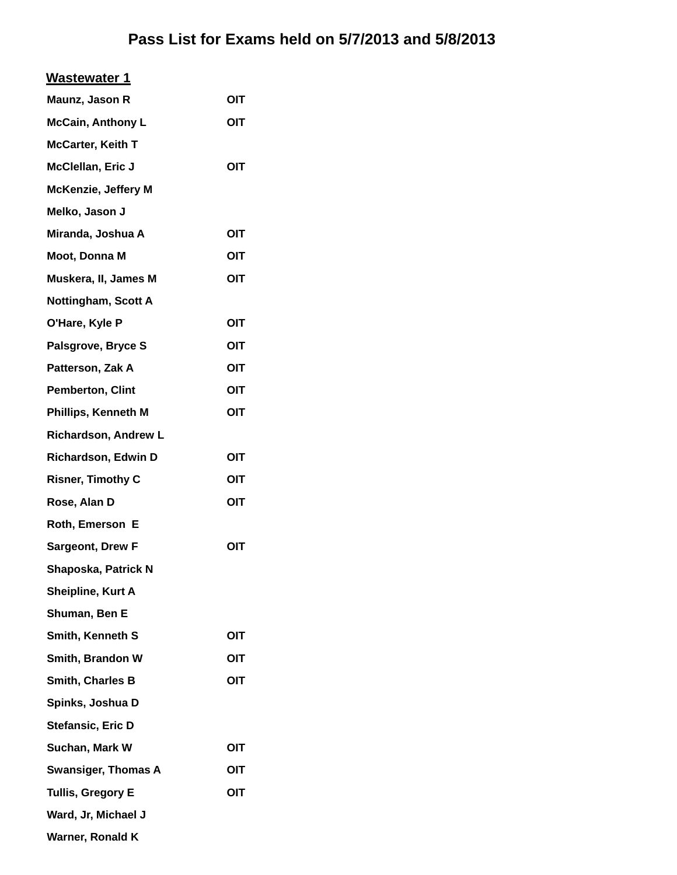| <b>Wastewater 1</b>        |     |
|----------------------------|-----|
| Maunz, Jason R             | OIT |
| <b>McCain, Anthony L</b>   | OIT |
| <b>McCarter, Keith T</b>   |     |
| McClellan, Eric J          | OIT |
| <b>McKenzie, Jeffery M</b> |     |
| Melko, Jason J             |     |
| Miranda, Joshua A          | OIT |
| Moot, Donna M              | OIT |
| Muskera, II, James M       | OIT |
| Nottingham, Scott A        |     |
| O'Hare, Kyle P             | OIT |
| Palsgrove, Bryce S         | OIT |
| Patterson, Zak A           | OIT |
| <b>Pemberton, Clint</b>    | OIT |
| Phillips, Kenneth M        | OIT |
| Richardson, Andrew L       |     |
| Richardson, Edwin D        | OIT |
| <b>Risner, Timothy C</b>   | OIT |
| Rose, Alan D               | OIT |
| Roth, Emerson E            |     |
| <b>Sargeont, Drew F</b>    | OIT |
| Shaposka, Patrick N        |     |
| Sheipline, Kurt A          |     |
| Shuman, Ben E              |     |
| Smith, Kenneth S           | OIT |
| Smith, Brandon W           | OIT |
| Smith, Charles B           | OIT |
| Spinks, Joshua D           |     |
| Stefansic, Eric D          |     |
| Suchan, Mark W             | OIT |
| <b>Swansiger, Thomas A</b> | OIT |
| <b>Tullis, Gregory E</b>   | OIT |
| Ward, Jr, Michael J        |     |
| Warner, Ronald K           |     |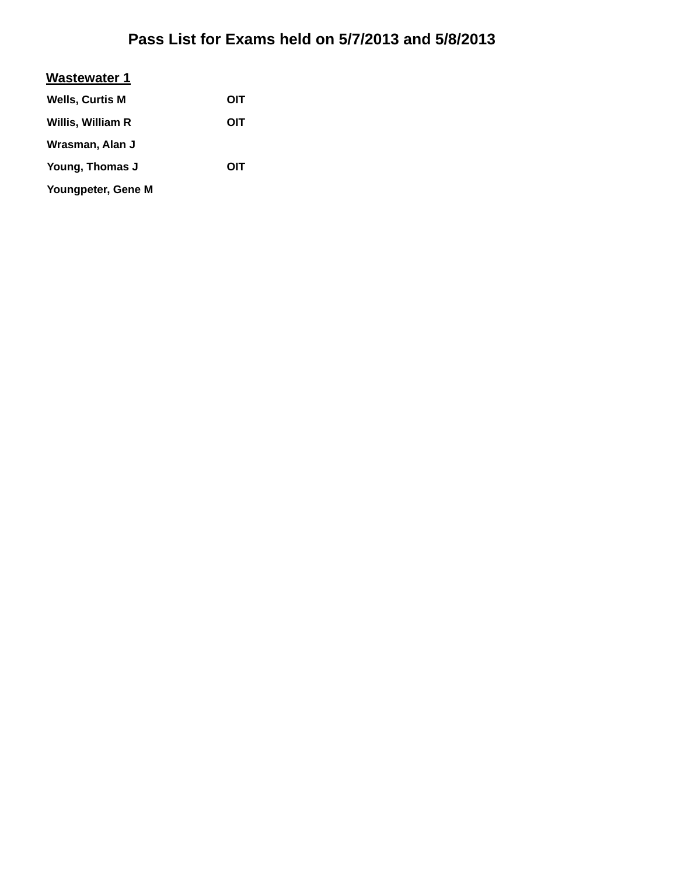| <b>Wastewater 1</b>    |     |
|------------------------|-----|
| <b>Wells, Curtis M</b> | OIT |
| Willis, William R      | ОІТ |
| Wrasman, Alan J        |     |
| Young, Thomas J        | ОІТ |
| Youngpeter, Gene M     |     |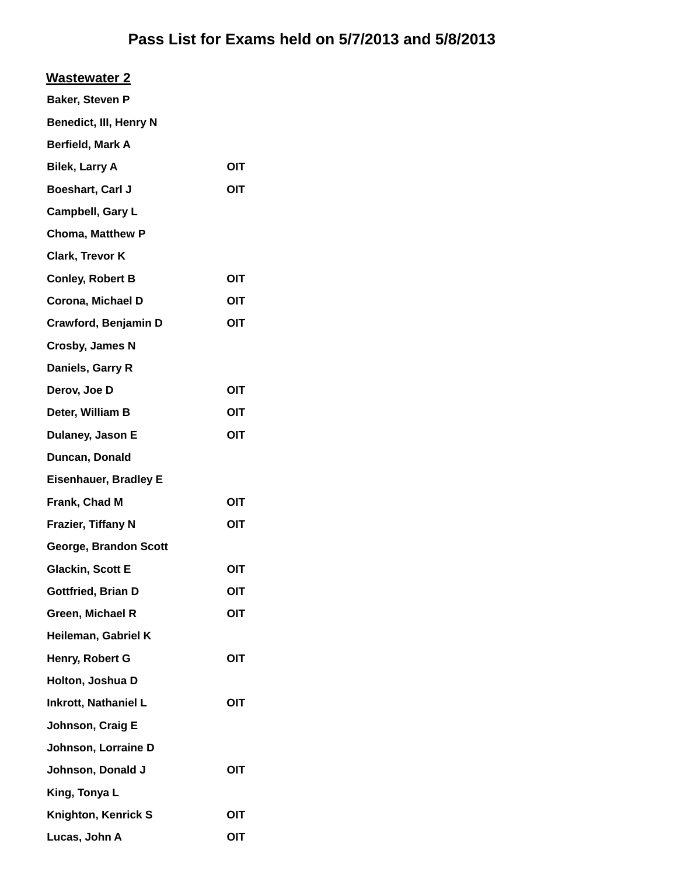| <b>Wastewater 2</b> |
|---------------------|
|---------------------|

| <b>Baker, Steven P</b>        |     |
|-------------------------------|-----|
| <b>Benedict, III, Henry N</b> |     |
| <b>Berfield, Mark A</b>       |     |
| <b>Bilek, Larry A</b>         | OIT |
| Boeshart, Carl J              | ΟΙΤ |
| Campbell, Gary L              |     |
| <b>Choma, Matthew P</b>       |     |
| <b>Clark, Trevor K</b>        |     |
| <b>Conley, Robert B</b>       | OIT |
| Corona, Michael D             | OIT |
| Crawford, Benjamin D          | OIT |
| <b>Crosby, James N</b>        |     |
| Daniels, Garry R              |     |
| Derov, Joe D                  | OIT |
| Deter, William B              | OIT |
| Dulaney, Jason E              | OIT |
| Duncan, Donald                |     |
| <b>Eisenhauer, Bradley E</b>  |     |
| Frank, Chad M                 | OIT |
| <b>Frazier, Tiffany N</b>     | OIT |
| George, Brandon Scott         |     |
| <b>Glackin, Scott E</b>       | OIT |
| Gottfried, Brian D            | OIJ |
| Green, Michael R              | OIT |
| Heileman, Gabriel K           |     |
| Henry, Robert G               | OIT |
| Holton, Joshua D              |     |
| <b>Inkrott, Nathaniel L</b>   | OIT |
| Johnson, Craig E              |     |
| Johnson, Lorraine D           |     |
| Johnson, Donald J             | OIT |
| King, Tonya L                 |     |
| Knighton, Kenrick S           | OIT |
| Lucas, John A                 | OIT |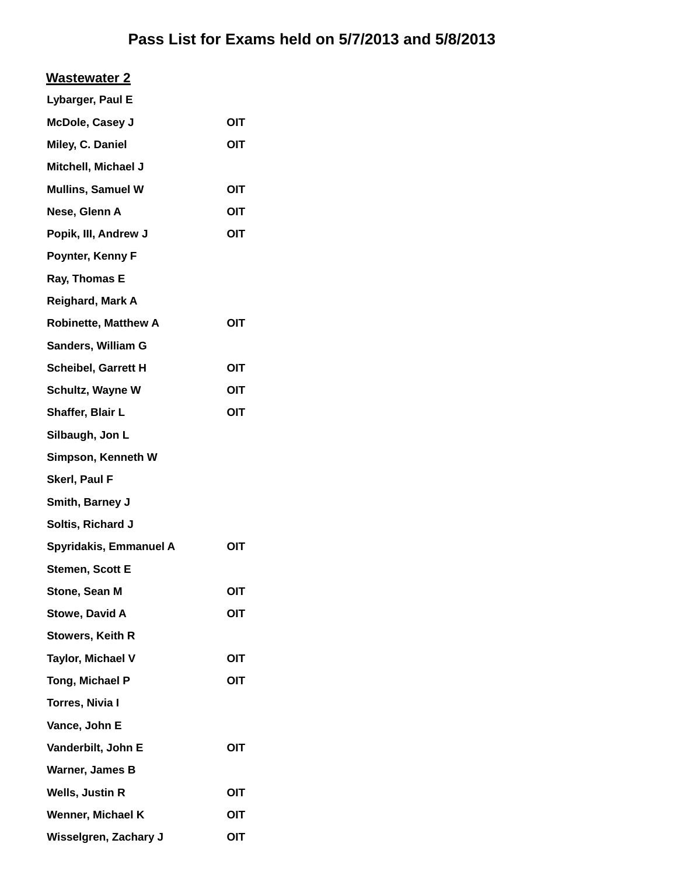#### **Wastewater 2**

| Lybarger, Paul E            |            |
|-----------------------------|------------|
| McDole, Casey J             | <b>OIT</b> |
| Miley, C. Daniel            | OIT        |
| Mitchell, Michael J         |            |
| <b>Mullins, Samuel W</b>    | OIT        |
| Nese, Glenn A               | OIT        |
| Popik, III, Andrew J        | OIT        |
| Poynter, Kenny F            |            |
| Ray, Thomas E               |            |
| Reighard, Mark A            |            |
| <b>Robinette, Matthew A</b> | <b>OIT</b> |
| Sanders, William G          |            |
| Scheibel, Garrett H         | OIT        |
| Schultz, Wayne W            | OIT        |
| Shaffer, Blair L            | OIT        |
| Silbaugh, Jon L             |            |
| Simpson, Kenneth W          |            |
| Skerl, Paul F               |            |
| Smith, Barney J             |            |
| Soltis, Richard J           |            |
| Spyridakis, Emmanuel A      | OIT        |
| Stemen, Scott E             |            |
| Stone, Sean M               | OIT        |
| <b>Stowe, David A</b>       | OIT        |
| Stowers, Keith R            |            |
| Taylor, Michael V           | <b>OIT</b> |
| Tong, Michael P             | OIT        |
| <b>Torres, Nivia I</b>      |            |
| Vance, John E               |            |
| Vanderbilt, John E          | OIT        |
| Warner, James B             |            |
| Wells, Justin R             | <b>OIT</b> |
| Wenner, Michael K           | OIT        |
| Wisselgren, Zachary J       | <b>OIT</b> |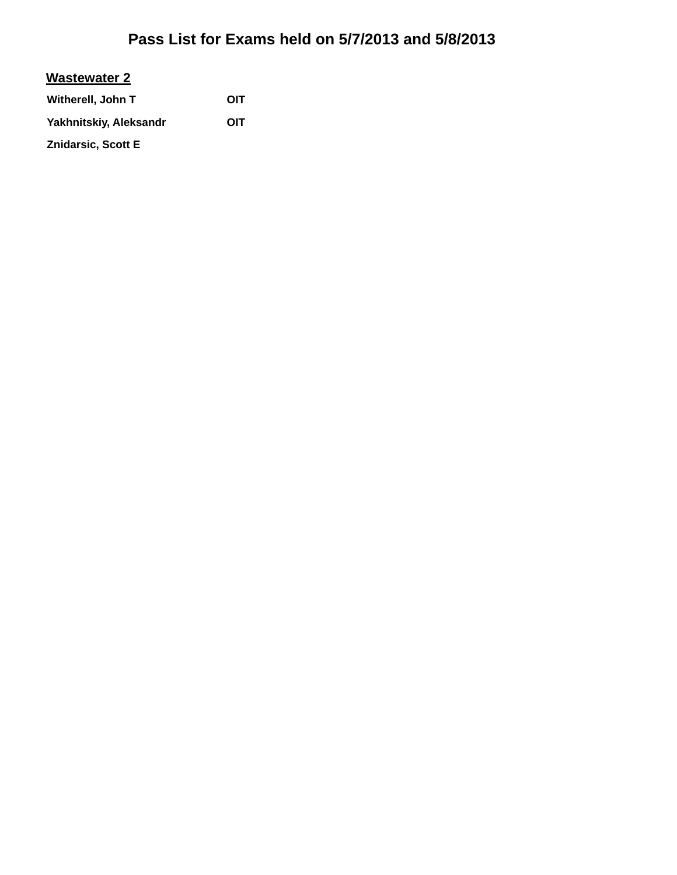#### **Wastewater 2**

| Witherell, John T         | OIT |
|---------------------------|-----|
| Yakhnitskiy, Aleksandr    | OIT |
| <b>Znidarsic, Scott E</b> |     |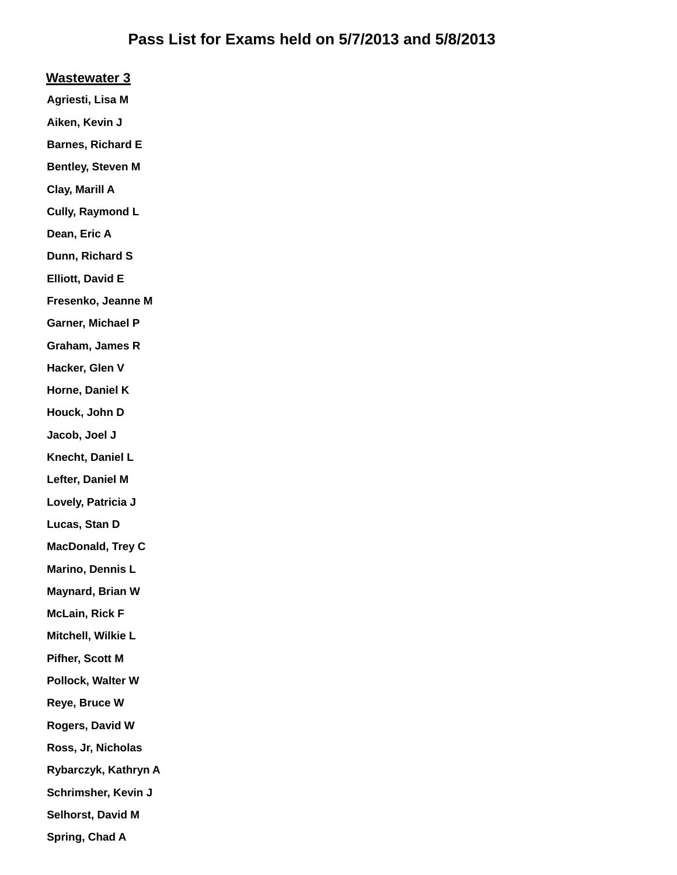#### **Wastewater 3**

**Agriesti, Lisa M**

**Aiken, Kevin J**

**Barnes, Richard E**

**Bentley, Steven M**

**Clay, Marill A**

**Cully, Raymond L**

**Dean, Eric A**

**Dunn, Richard S**

**Elliott, David E**

**Fresenko, Jeanne M**

**Garner, Michael P**

**Graham, James R**

**Hacker, Glen V**

**Horne, Daniel K**

**Houck, John D**

**Jacob, Joel J**

**Knecht, Daniel L**

**Lefter, Daniel M**

**Lovely, Patricia J**

**Lucas, Stan D**

**MacDonald, Trey C**

**Marino, Dennis L**

**Maynard, Brian W**

**McLain, Rick F**

**Mitchell, Wilkie L**

**Pifher, Scott M**

**Pollock, Walter W**

**Reye, Bruce W**

**Rogers, David W**

**Ross, Jr, Nicholas**

**Rybarczyk, Kathryn A**

**Schrimsher, Kevin J**

**Selhorst, David M**

**Spring, Chad A**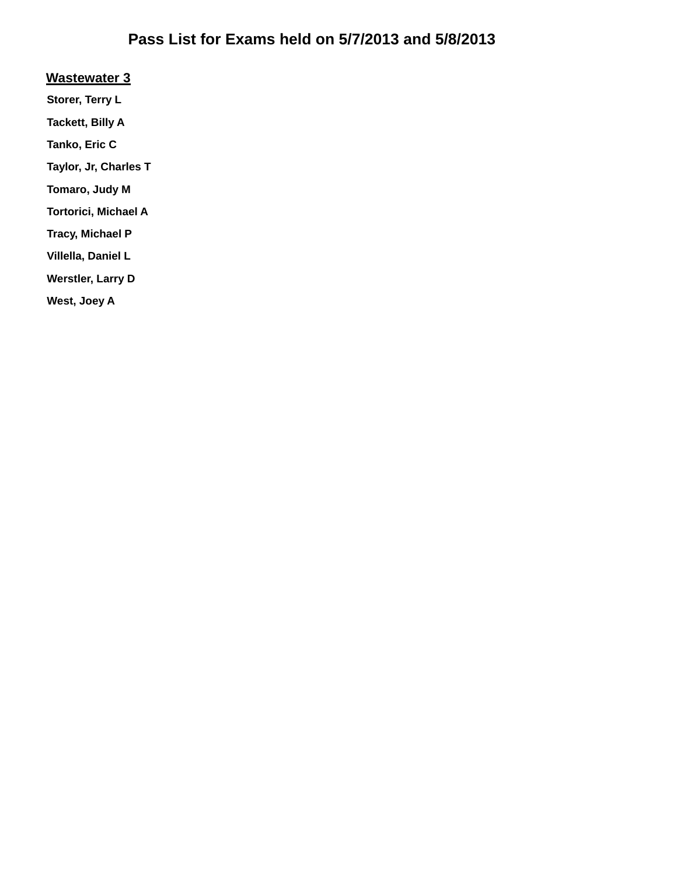#### **Wastewater 3**

**Storer, Terry L**

**Tackett, Billy A**

**Tanko, Eric C**

**Taylor, Jr, Charles T**

**Tomaro, Judy M**

**Tortorici, Michael A**

**Tracy, Michael P**

**Villella, Daniel L**

**Werstler, Larry D**

**West, Joey A**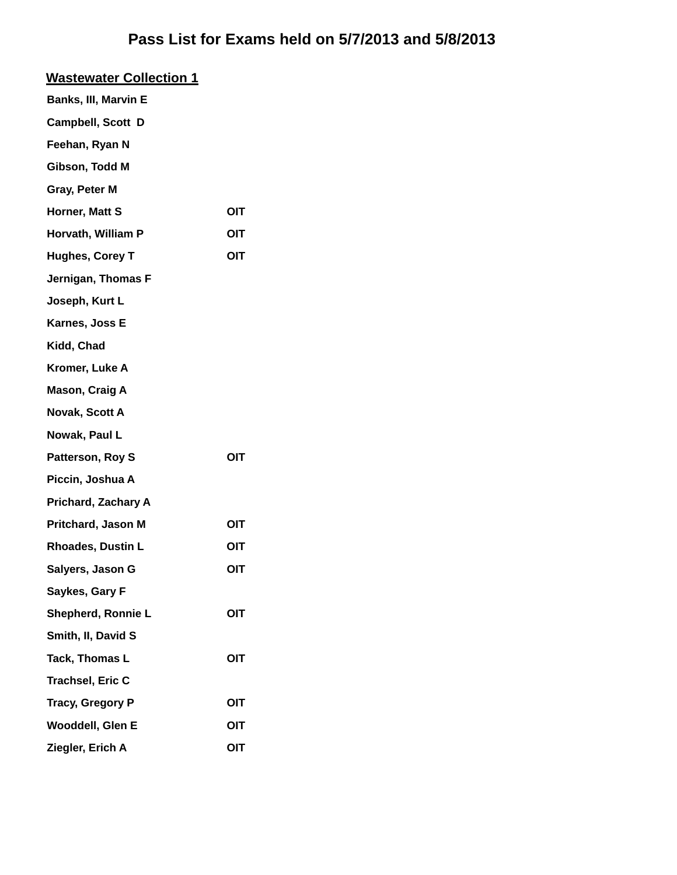| <b>Wastewater Collection 1</b> |     |
|--------------------------------|-----|
| Banks, III, Marvin E           |     |
| Campbell, Scott D              |     |
| Feehan, Ryan N                 |     |
| Gibson, Todd M                 |     |
| Gray, Peter M                  |     |
| Horner, Matt S                 | OIT |
| Horvath, William P             | OIT |
| <b>Hughes, Corey T</b>         | OIT |
| Jernigan, Thomas F             |     |
| Joseph, Kurt L                 |     |
| Karnes, Joss E                 |     |
| Kidd, Chad                     |     |
| Kromer, Luke A                 |     |
| Mason, Craig A                 |     |
| Novak, Scott A                 |     |
| Nowak, Paul L                  |     |
| Patterson, Roy S               | OIT |
| Piccin, Joshua A               |     |
| <b>Prichard, Zachary A</b>     |     |
| Pritchard, Jason M             | OIT |
| <b>Rhoades, Dustin L</b>       | ΟΙΤ |
| Salyers, Jason G               | OIT |
| Saykes, Gary F                 |     |
| Shepherd, Ronnie L             | OIT |
| Smith, II, David S             |     |
| Tack, Thomas L                 | OIT |
| <b>Trachsel, Eric C</b>        |     |
| <b>Tracy, Gregory P</b>        | OIT |
| Wooddell, Glen E               | OIT |
| Ziegler, Erich A               | OIT |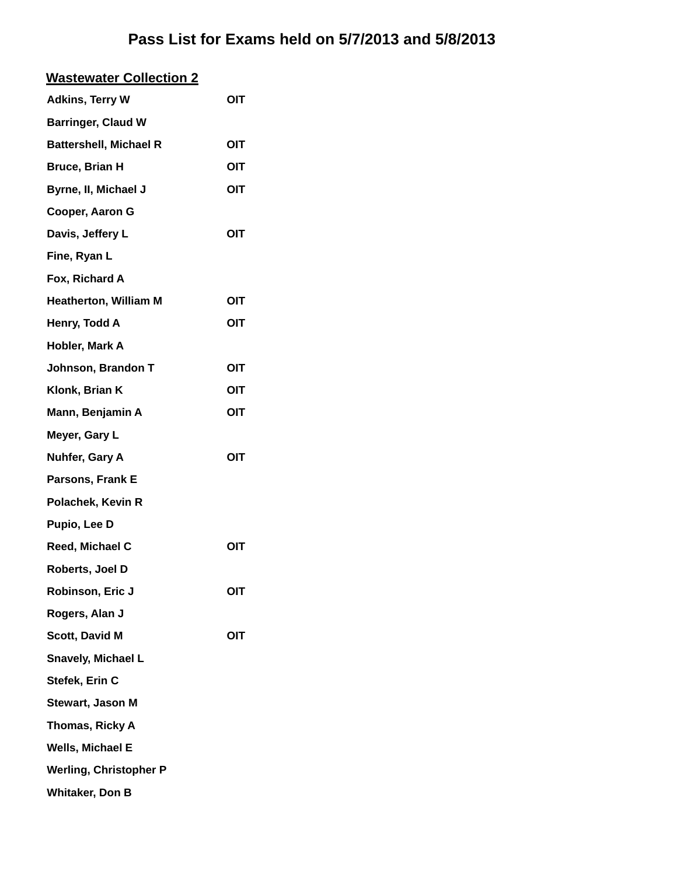| <b>Wastewater Collection 2</b> |            |
|--------------------------------|------------|
| <b>Adkins, Terry W</b>         | OIT        |
| <b>Barringer, Claud W</b>      |            |
| <b>Battershell, Michael R</b>  | OIT        |
| <b>Bruce, Brian H</b>          | OIT        |
| Byrne, II, Michael J           | OIT        |
| Cooper, Aaron G                |            |
| Davis, Jeffery L               | OIT        |
| Fine, Ryan L                   |            |
| Fox, Richard A                 |            |
| <b>Heatherton, William M</b>   | OIT        |
| Henry, Todd A                  | OIT        |
| Hobler, Mark A                 |            |
| Johnson, Brandon T             | OIT        |
| Klonk, Brian K                 | OIT        |
| Mann, Benjamin A               | <b>OIT</b> |
| Meyer, Gary L                  |            |
| Nuhfer, Gary A                 | OIT        |
| Parsons, Frank E               |            |
| Polachek, Kevin R              |            |
| Pupio, Lee D                   |            |
| Reed, Michael C                | OIT        |
| Roberts, Joel D                |            |
| Robinson, Eric J               | OIT        |
| Rogers, Alan J                 |            |
| <b>Scott, David M</b>          | OIT        |
| <b>Snavely, Michael L</b>      |            |
| Stefek, Erin C                 |            |
| Stewart, Jason M               |            |
| Thomas, Ricky A                |            |
| Wells, Michael E               |            |
| <b>Werling, Christopher P</b>  |            |
| <b>Whitaker, Don B</b>         |            |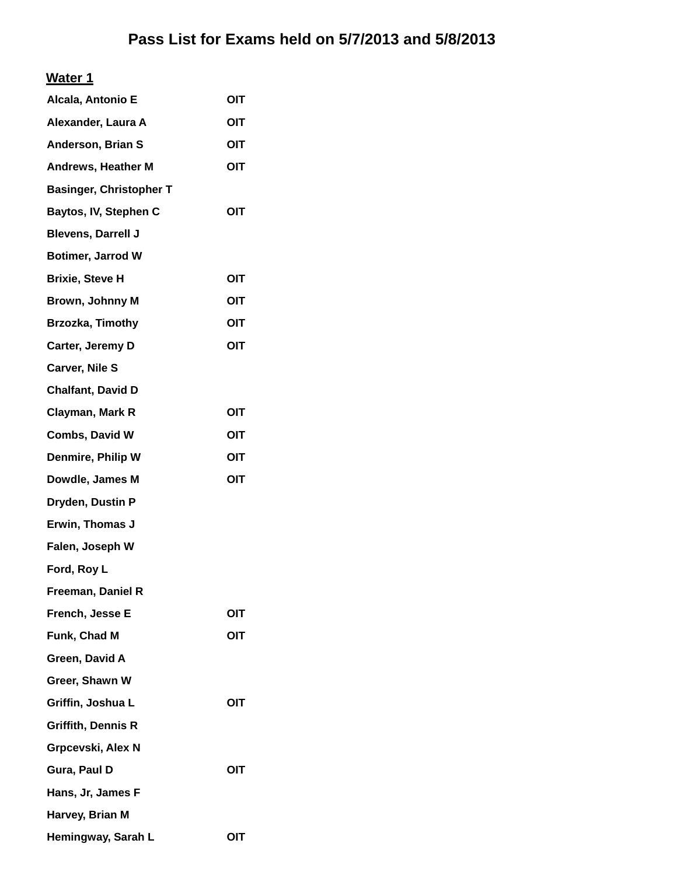#### **Water 1**

| Alcala, Antonio E              | OIT |
|--------------------------------|-----|
| Alexander, Laura A             | OIT |
| Anderson, Brian S              | OIT |
| <b>Andrews, Heather M</b>      | OIT |
| <b>Basinger, Christopher T</b> |     |
| Baytos, IV, Stephen C          | OIT |
| <b>Blevens, Darrell J</b>      |     |
| <b>Botimer, Jarrod W</b>       |     |
| <b>Brixie, Steve H</b>         | OIT |
| <b>Brown, Johnny M</b>         | OIT |
| Brzozka, Timothy               | OIT |
| Carter, Jeremy D               | OIT |
| <b>Carver, Nile S</b>          |     |
| <b>Chalfant, David D</b>       |     |
| Clayman, Mark R                | OIT |
| Combs, David W                 | OIT |
| <b>Denmire, Philip W</b>       | OIT |
| Dowdle, James M                | OIT |
| Dryden, Dustin P               |     |
| Erwin, Thomas J                |     |
| Falen, Joseph W                |     |
| Ford, Roy L                    |     |
| Freeman, Daniel R              |     |
| French, Jesse E                | OIT |
| Funk, Chad M                   | OIT |
| Green, David A                 |     |
| Greer, Shawn W                 |     |
| Griffin, Joshua L              | OIT |
| <b>Griffith, Dennis R</b>      |     |
| Grpcevski, Alex N              |     |
| Gura, Paul D                   | OIT |
| Hans, Jr, James F              |     |
| Harvey, Brian M                |     |
| Hemingway, Sarah L             | OIT |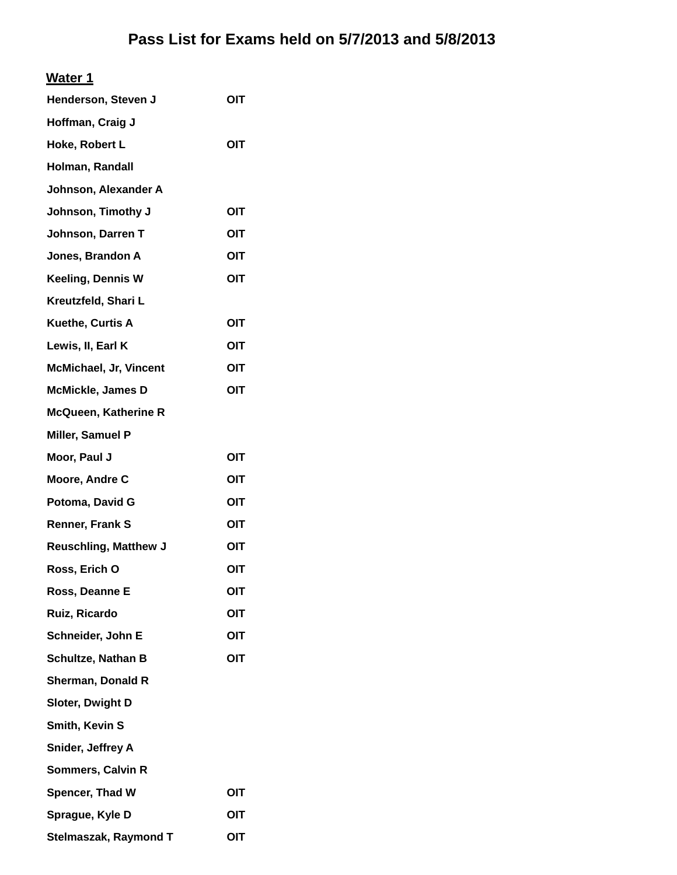| Henderson, Steven J           | OIT |
|-------------------------------|-----|
| Hoffman, Craig J              |     |
| Hoke, Robert L                | OIT |
| Holman, Randall               |     |
| Johnson, Alexander A          |     |
| Johnson, Timothy J            | OIT |
| Johnson, Darren T             | OIT |
| Jones, Brandon A              | OIT |
| <b>Keeling, Dennis W</b>      | OIT |
| Kreutzfeld, Shari L           |     |
| Kuethe, Curtis A              | OIT |
| Lewis, II, Earl K             | OIT |
| <b>McMichael, Jr, Vincent</b> | OIT |
| <b>McMickle, James D</b>      | OIT |
| <b>McQueen, Katherine R</b>   |     |
| Miller, Samuel P              |     |
| Moor, Paul J                  | OIT |
| Moore, Andre C                | OIT |
| Potoma, David G               | OIT |
| Renner, Frank S               | OIT |
| <b>Reuschling, Matthew J</b>  | OIT |
| Ross, Erich O                 | OIT |
| Ross, Deanne E                | OIT |
| Ruiz, Ricardo                 | OIT |
| Schneider, John E             | OIT |
| Schultze, Nathan B            | OIT |
| <b>Sherman, Donald R</b>      |     |
| Sloter, Dwight D              |     |
| Smith, Kevin S                |     |
| Snider, Jeffrey A             |     |
| Sommers, Calvin R             |     |
| Spencer, Thad W               | OIT |
| Sprague, Kyle D               | OIT |
| Stelmaszak, Raymond T         | OIT |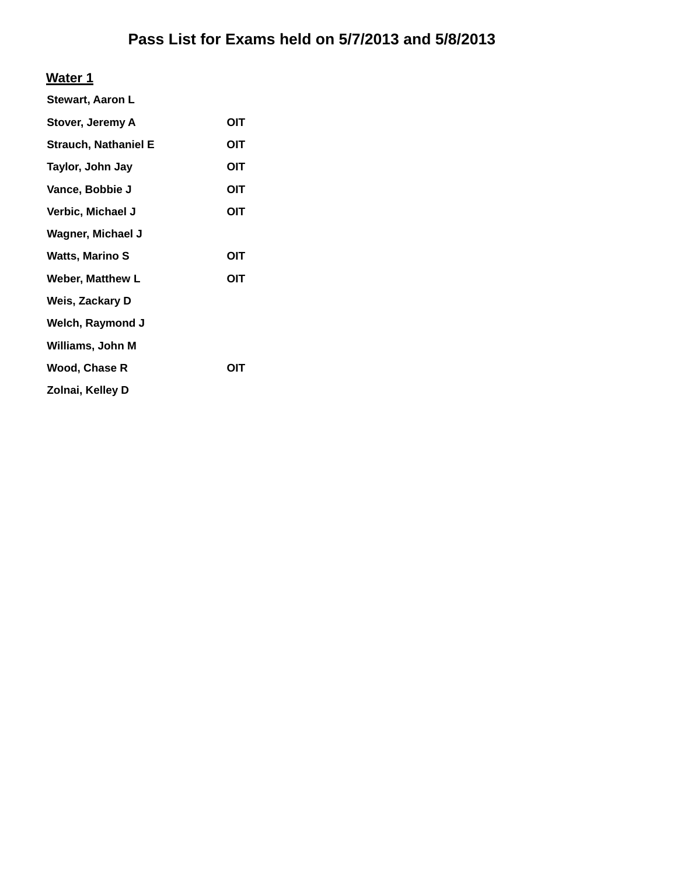#### **Water 1**

| <b>Stewart, Aaron L</b>     |     |
|-----------------------------|-----|
| Stover, Jeremy A            | OIT |
| <b>Strauch, Nathaniel E</b> | OIT |
| Taylor, John Jay            | OIT |
| Vance, Bobbie J             | OIT |
| Verbic, Michael J           | OIT |
| <b>Wagner, Michael J</b>    |     |
| <b>Watts, Marino S</b>      | OIT |
| <b>Weber, Matthew L</b>     | OIT |
| Weis, Zackary D             |     |
| Welch, Raymond J            |     |
| Williams, John M            |     |
| Wood, Chase R               | OIT |
| Zolnai, Kelley D            |     |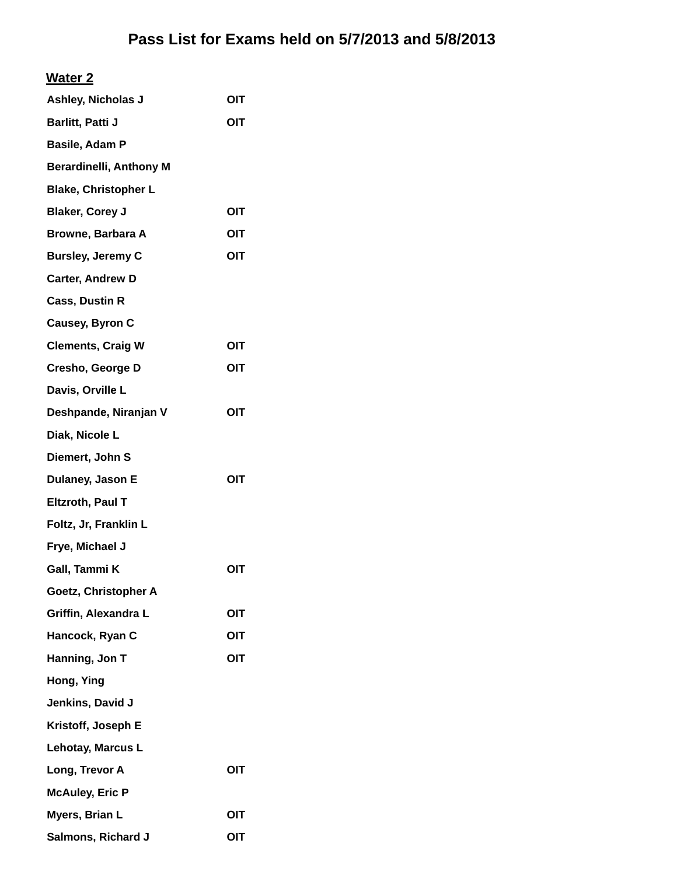| Ashley, Nicholas J             | OIT        |
|--------------------------------|------------|
| Barlitt, Patti J               | ΟΙΤ        |
| Basile, Adam P                 |            |
| <b>Berardinelli, Anthony M</b> |            |
| <b>Blake, Christopher L</b>    |            |
| <b>Blaker, Corey J</b>         | OIT        |
| Browne, Barbara A              | OIT        |
| <b>Bursley, Jeremy C</b>       | OIT        |
| <b>Carter, Andrew D</b>        |            |
| <b>Cass, Dustin R</b>          |            |
| Causey, Byron C                |            |
| <b>Clements, Craig W</b>       | OIT        |
| <b>Cresho, George D</b>        | OIT        |
| Davis, Orville L               |            |
| Deshpande, Niranjan V          | OIT        |
| Diak, Nicole L                 |            |
| Diemert, John S                |            |
| Dulaney, Jason E               | OIT        |
| Eltzroth, Paul T               |            |
| Foltz, Jr, Franklin L          |            |
| Frye, Michael J                |            |
| Gall, Tammi K                  | OIT        |
| Goetz, Christopher A           |            |
| Griffin, Alexandra L           | OIT        |
| Hancock, Ryan C                | OIT        |
| Hanning, Jon T                 | OIT        |
| Hong, Ying                     |            |
| Jenkins, David J               |            |
| Kristoff, Joseph E             |            |
| Lehotay, Marcus L              |            |
| Long, Trevor A                 | <b>OIT</b> |
| <b>McAuley, Eric P</b>         |            |
| Myers, Brian L                 | OIT        |
| Salmons, Richard J             | OIT        |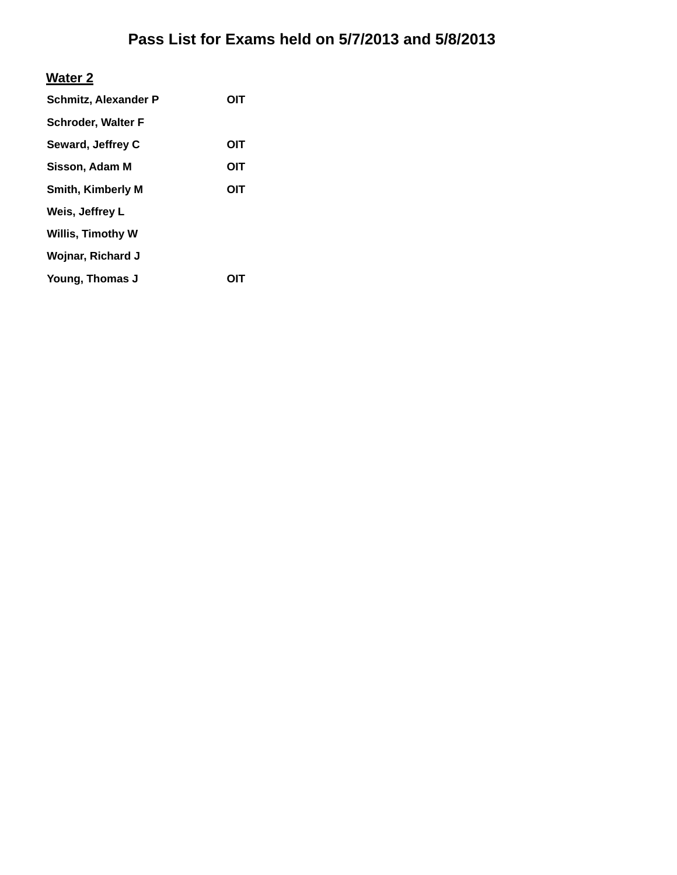#### **Water 2**

| <b>Schmitz, Alexander P</b> | OIT |
|-----------------------------|-----|
| <b>Schroder, Walter F</b>   |     |
| Seward, Jeffrey C           | OIT |
| Sisson, Adam M              | OIT |
| <b>Smith, Kimberly M</b>    | OIT |
| Weis, Jeffrey L             |     |
| <b>Willis, Timothy W</b>    |     |
| <b>Wojnar, Richard J</b>    |     |
| Young, Thomas J             |     |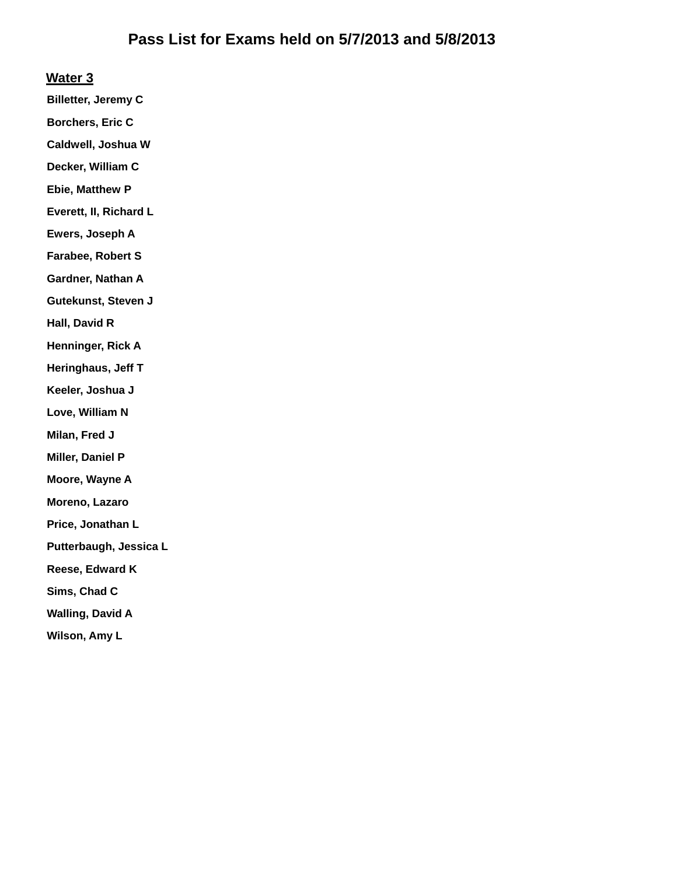#### **Water 3**

**Billetter, Jeremy C**

**Borchers, Eric C**

**Caldwell, Joshua W**

**Decker, William C**

**Ebie, Matthew P**

**Everett, II, Richard L**

**Ewers, Joseph A**

**Farabee, Robert S**

**Gardner, Nathan A**

**Gutekunst, Steven J**

**Hall, David R**

**Henninger, Rick A**

**Heringhaus, Jeff T**

**Keeler, Joshua J**

**Love, William N**

**Milan, Fred J**

**Miller, Daniel P**

**Moore, Wayne A**

**Moreno, Lazaro**

**Price, Jonathan L**

**Putterbaugh, Jessica L**

**Reese, Edward K**

**Sims, Chad C**

**Walling, David A**

**Wilson, Amy L**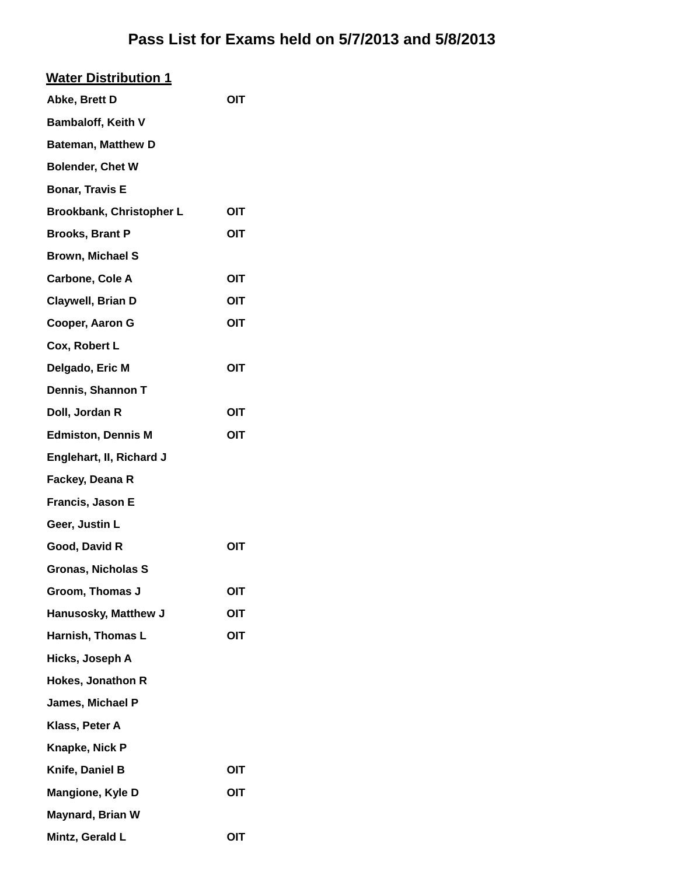| <b>Water Distribution 1</b> |     |
|-----------------------------|-----|
| Abke, Brett D               | OIT |
| Bambaloff, Keith V          |     |
| <b>Bateman, Matthew D</b>   |     |
| <b>Bolender, Chet W</b>     |     |
| <b>Bonar, Travis E</b>      |     |
| Brookbank, Christopher L    | OIT |
| <b>Brooks, Brant P</b>      | OIT |
| Brown, Michael S            |     |
| Carbone, Cole A             | OIT |
| Claywell, Brian D           | OIT |
| Cooper, Aaron G             | OIT |
| Cox, Robert L               |     |
| Delgado, Eric M             | OIT |
| Dennis, Shannon T           |     |
| Doll, Jordan R              | OIT |
| <b>Edmiston, Dennis M</b>   | OIT |
| Englehart, II, Richard J    |     |
| Fackey, Deana R             |     |
| Francis, Jason E            |     |
| Geer, Justin L              |     |
| Good, David R               | OIT |
| <b>Gronas, Nicholas S</b>   |     |
| Groom, Thomas J             | OIT |
| Hanusosky, Matthew J        | OIT |
| Harnish, Thomas L           | OIT |
| Hicks, Joseph A             |     |
| <b>Hokes, Jonathon R</b>    |     |
| James, Michael P            |     |
| Klass, Peter A              |     |
| Knapke, Nick P              |     |
| Knife, Daniel B             | OIT |
| Mangione, Kyle D            | OIT |
| <b>Maynard, Brian W</b>     |     |
| Mintz, Gerald L             | OIT |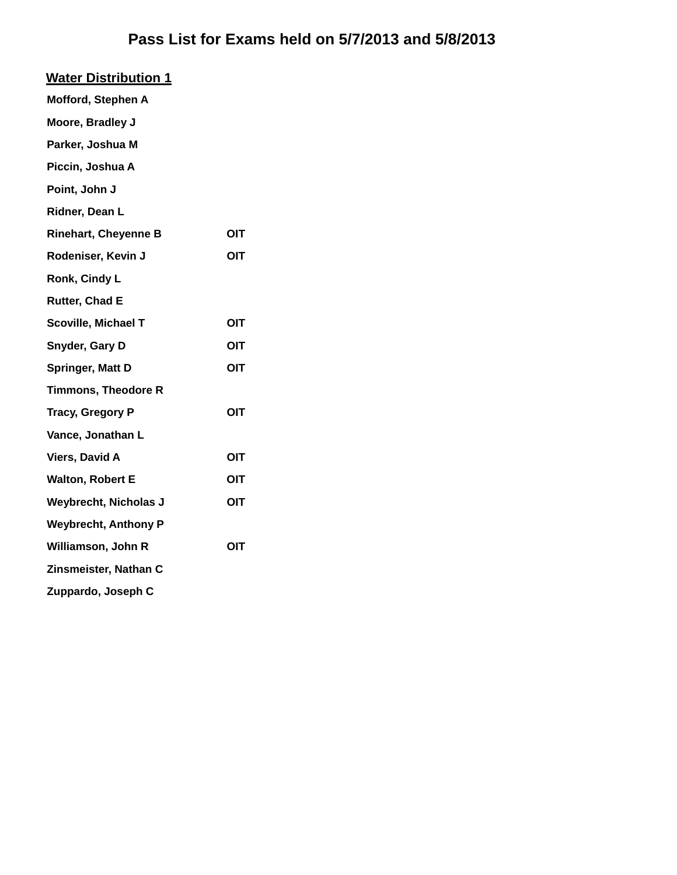| <b>Water Distribution 1</b>  |            |
|------------------------------|------------|
| Mofford, Stephen A           |            |
| Moore, Bradley J             |            |
| Parker, Joshua M             |            |
| Piccin, Joshua A             |            |
| Point, John J                |            |
| Ridner, Dean L               |            |
| <b>Rinehart, Cheyenne B</b>  | OIT        |
| Rodeniser, Kevin J           | <b>OIT</b> |
| Ronk, Cindy L                |            |
| Rutter, Chad E               |            |
| Scoville, Michael T          | <b>OIT</b> |
| Snyder, Gary D               | ΟΙΤ        |
| Springer, Matt D             | OIT        |
| <b>Timmons, Theodore R</b>   |            |
| <b>Tracy, Gregory P</b>      | <b>OIT</b> |
| Vance, Jonathan L            |            |
| <b>Viers, David A</b>        | OIT        |
| <b>Walton, Robert E</b>      | OIT        |
| <b>Weybrecht, Nicholas J</b> | OIT        |
| <b>Weybrecht, Anthony P</b>  |            |
| Williamson, John R           | OIT        |
| Zinsmeister, Nathan C        |            |
| Zuppardo, Joseph C           |            |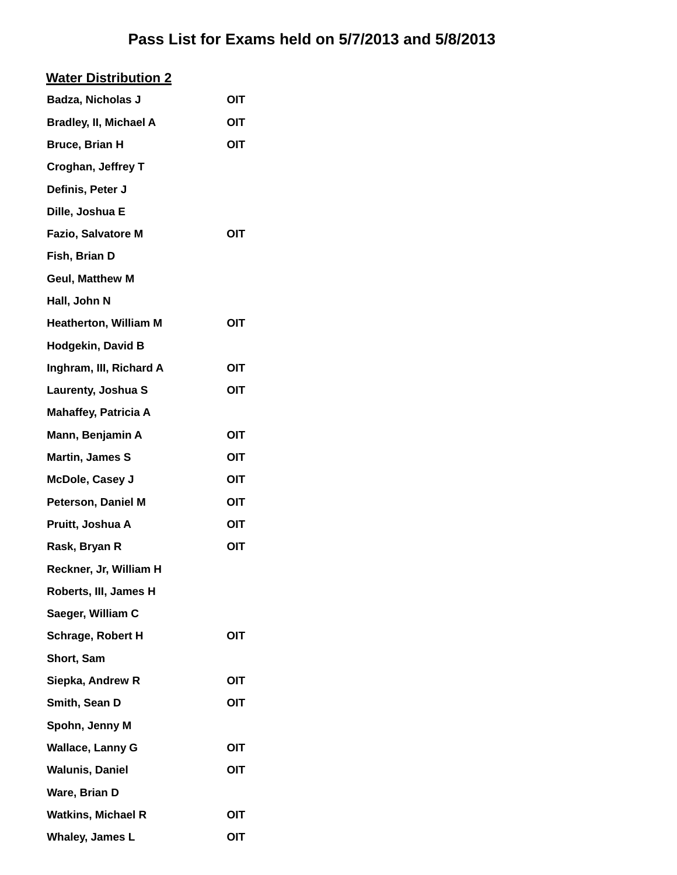| <b>Water Distribution 2</b>   |            |
|-------------------------------|------------|
| Badza, Nicholas J             | OIT        |
| <b>Bradley, II, Michael A</b> | OIT        |
| <b>Bruce, Brian H</b>         | OIT        |
| <b>Croghan, Jeffrey T</b>     |            |
| Definis, Peter J              |            |
| Dille, Joshua E               |            |
| <b>Fazio, Salvatore M</b>     | OIT        |
| Fish, Brian D                 |            |
| <b>Geul, Matthew M</b>        |            |
| Hall, John N                  |            |
| <b>Heatherton, William M</b>  | <b>OIT</b> |
| <b>Hodgekin, David B</b>      |            |
| Inghram, III, Richard A       | OIT        |
| Laurenty, Joshua S            | OIT        |
| <b>Mahaffey, Patricia A</b>   |            |
| Mann, Benjamin A              | OIT        |
| <b>Martin, James S</b>        | OIT        |
| <b>McDole, Casey J</b>        | OIT        |
| <b>Peterson, Daniel M</b>     | <b>OIT</b> |
| Pruitt, Joshua A              | OIT        |
| Rask, Bryan R                 | OIT        |
| Reckner, Jr, William H        |            |
| Roberts, III, James H         |            |
| Saeger, William C             |            |
| <b>Schrage, Robert H</b>      | OIT        |
| Short, Sam                    |            |
| Siepka, Andrew R              | <b>OIT</b> |
| Smith, Sean D                 | OIT        |
| Spohn, Jenny M                |            |
| <b>Wallace, Lanny G</b>       | OIT        |
| <b>Walunis, Daniel</b>        | OIT        |
| Ware, Brian D                 |            |
| <b>Watkins, Michael R</b>     | OIT        |
| Whaley, James L               | OIT        |